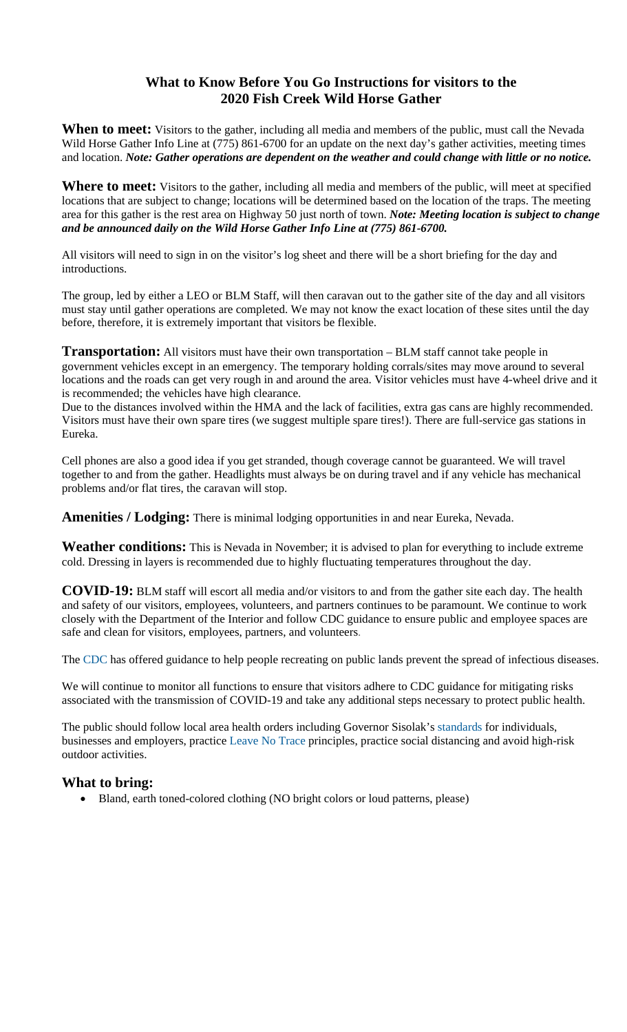## **What to Know Before You Go Instructions for visitors to the 2020 Fish Creek Wild Horse Gather**

**When to meet:** Visitors to the gather, including all media and members of the public, must call the Nevada Wild Horse Gather Info Line at (775) 861-6700 for an update on the next day's gather activities, meeting times and location. *Note: Gather operations are dependent on the weather and could change with little or no notice.*

**Where to meet:** Visitors to the gather, including all media and members of the public, will meet at specified locations that are subject to change; locations will be determined based on the location of the traps. The meeting area for this gather is the rest area on Highway 50 just north of town. *Note: Meeting location is subject to change and be announced daily on the Wild Horse Gather Info Line at (775) 861-6700.* 

All visitors will need to sign in on the visitor's log sheet and there will be a short briefing for the day and introductions.

The group, led by either a LEO or BLM Staff, will then caravan out to the gather site of the day and all visitors must stay until gather operations are completed. We may not know the exact location of these sites until the day before, therefore, it is extremely important that visitors be flexible.

**Transportation:** All visitors must have their own transportation – BLM staff cannot take people in government vehicles except in an emergency. The temporary holding corrals/sites may move around to several locations and the roads can get very rough in and around the area. Visitor vehicles must have 4-wheel drive and it is recommended; the vehicles have high clearance.

Due to the distances involved within the HMA and the lack of facilities, extra gas cans are highly recommended. Visitors must have their own spare tires (we suggest multiple spare tires!). There are full-service gas stations in Eureka.

Cell phones are also a good idea if you get stranded, though coverage cannot be guaranteed. We will travel together to and from the gather. Headlights must always be on during travel and if any vehicle has mechanical problems and/or flat tires, the caravan will stop.

**Amenities / Lodging:** There is minimal lodging opportunities in and near Eureka, Nevada.

**Weather conditions:** This is Nevada in November; it is advised to plan for everything to include extreme cold. Dressing in layers is recommended due to highly fluctuating temperatures throughout the day.

**COVID-19:** BLM staff will escort all media and/or visitors to and from the gather site each day. The health and safety of our visitors, employees, volunteers, and partners continues to be paramount. We continue to work closely with the Department of the Interior and follow CDC guidance to ensure public and employee spaces are safe and clean for visitors, employees, partners, and volunteers.

The CDC has offered guidance to help people recreating on public lands prevent the spread of infectious diseases.

We will continue to monitor all functions to ensure that visitors adhere to CDC guidance for mitigating risks associated with the transmission of COVID-19 and take any additional steps necessary to protect public health.

The public should follow local area health orders including Governor Sisolak's standards for individuals, businesses and employers, practice Leave No Trace principles, practice social distancing and avoid high-risk outdoor activities.

## **What to bring:**

• Bland, earth toned-colored clothing (NO bright colors or loud patterns, please)